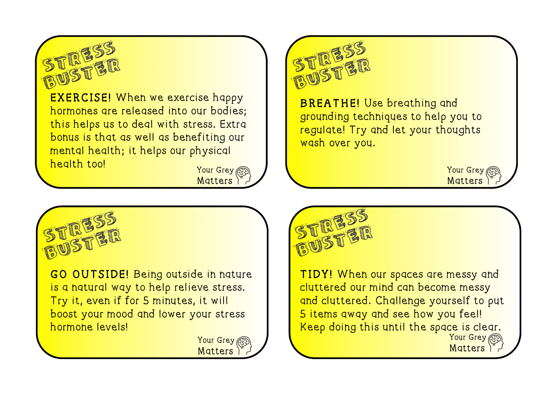

EXERCISE! When we exercise happy hormones are released into our bodies; this helps us to deal with stress. Extra bonus is that as well as benefiting our mental health; it helps our physical health too!





BREATHE! Use breathing and grounding techniques to help you to regulate! Try and let your thoughts wash over you.

> Your Grey Matters



GO OUTSIDE! Being outside in nature is a natural way to help relieve stress. Try it, even if for 5 minutes, it will boost your mood and lower your stress hormone levels!





TIDY! When our spaces are messy and cluttered our mind can become messy and cluttered. Challenge yourself to put 5 items away and see how you feel! Keep doing this until the space is clear.<br>Your Grey

**Matters**